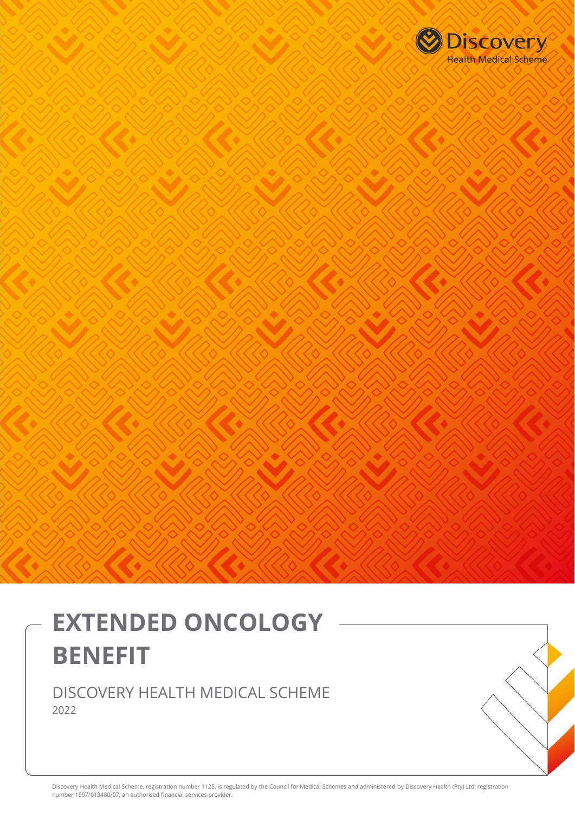

# **EXTENDED ONCOLOGY BENEFIT**

DISCOVERY HEALTH MEDICAL SCHEME 2022

Discovery Health Medical Scheme, registration number 1125, is regulated by the Council for Medical Schemes and administered by Discovery Health (Pty) Ltd, registration number 1997/013480/07, an authorised financial services provider.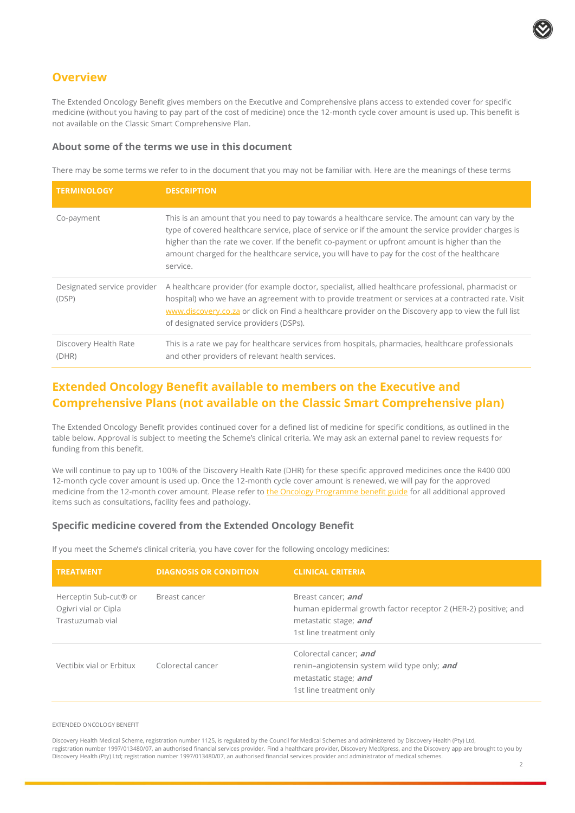

## **Overview**

The Extended Oncology Benefit gives members on the Executive and Comprehensive plans access to extended cover for specific medicine (without you having to pay part of the cost of medicine) once the 12-month cycle cover amount is used up. This benefit is not available on the Classic Smart Comprehensive Plan.

## **About some of the terms we use in this document**

There may be some terms we refer to in the document that you may not be familiar with. Here are the meanings of these terms

| <b>TERMINOLOGY</b>                   | <b>DESCRIPTION</b>                                                                                                                                                                                                                                                                                                                                                                                                      |
|--------------------------------------|-------------------------------------------------------------------------------------------------------------------------------------------------------------------------------------------------------------------------------------------------------------------------------------------------------------------------------------------------------------------------------------------------------------------------|
| Co-payment                           | This is an amount that you need to pay towards a healthcare service. The amount can vary by the<br>type of covered healthcare service, place of service or if the amount the service provider charges is<br>higher than the rate we cover. If the benefit co-payment or upfront amount is higher than the<br>amount charged for the healthcare service, you will have to pay for the cost of the healthcare<br>service. |
| Designated service provider<br>(DSP) | A healthcare provider (for example doctor, specialist, allied healthcare professional, pharmacist or<br>hospital) who we have an agreement with to provide treatment or services at a contracted rate. Visit<br>www.discovery.co.za or click on Find a healthcare provider on the Discovery app to view the full list<br>of designated service providers (DSPs).                                                        |
| Discovery Health Rate<br>(DHR)       | This is a rate we pay for healthcare services from hospitals, pharmacies, healthcare professionals<br>and other providers of relevant health services.                                                                                                                                                                                                                                                                  |

# **Extended Oncology Benefit available to members on the Executive and Comprehensive Plans (not available on the Classic Smart Comprehensive plan)**

The Extended Oncology Benefit provides continued cover for a defined list of medicine for specific conditions, as outlined in the table below. Approval is subject to meeting the Scheme's clinical criteria. We may ask an external panel to review requests for funding from this benefit.

We will continue to pay up to 100% of the Discovery Health Rate (DHR) for these specific approved medicines once the R400 000 12-month cycle cover amount is used up. Once the 12-month cycle cover amount is renewed, we will pay for the approved medicine from the 12-month cover amount. Please refer to [the Oncology Programme benefit guide](https://www.discovery.co.za/wcm/discoverycoza/assets/medical-aid/benefit-information/2022/oncology-programme.pdf) for all additional approved items such as consultations, facility fees and pathology.

## **Specific medicine covered from the Extended Oncology Benefit**

If you meet the Scheme's clinical criteria, you have cover for the following oncology medicines:

| <b>TREATMENT</b>                                                  | <b>DIAGNOSIS OR CONDITION</b> | <b>CLINICAL CRITERIA</b>                                                                                                                 |
|-------------------------------------------------------------------|-------------------------------|------------------------------------------------------------------------------------------------------------------------------------------|
| Herceptin Sub-cut® or<br>Ogivri vial or Cipla<br>Trastuzumab vial | Breast cancer                 | Breast cancer; and<br>human epidermal growth factor receptor 2 (HER-2) positive; and<br>metastatic stage; and<br>1st line treatment only |
| Vectibix vial or Erbitux                                          | Colorectal cancer             | Colorectal cancer; and<br>renin-angiotensin system wild type only; and<br>metastatic stage; and<br>1st line treatment only               |

#### EXTENDED ONCOLOGY BENEFIT

Discovery Health Medical Scheme, registration number 1125, is regulated by the Council for Medical Schemes and administered by Discovery Health (Pty) Ltd, registration number 1997/013480/07, an authorised financial services provider. Find a healthcare provider, Discovery MedXpress, and the Discovery app are brought to you by Discovery Health (Pty) Ltd; registration number 1997/013480/07, an authorised financial services provider and administrator of medical schemes.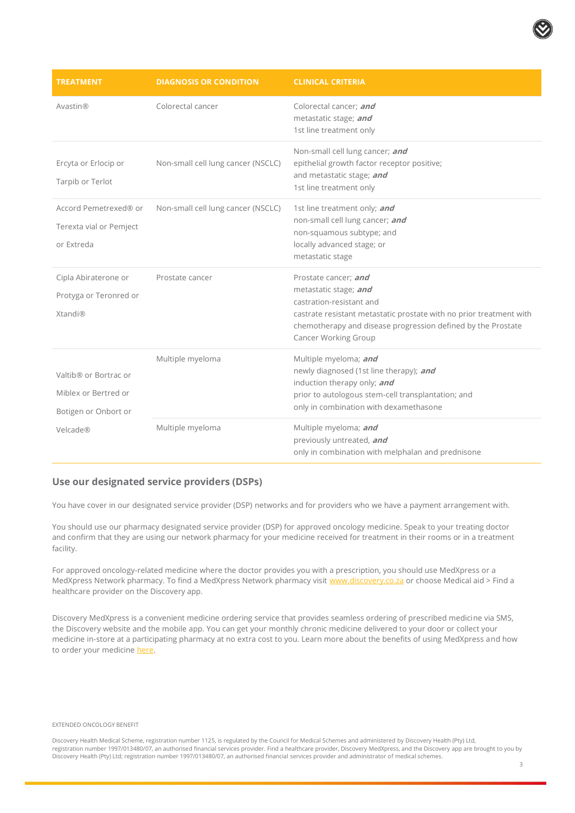| <b>TREATMENT</b>                                                      | <b>DIAGNOSIS OR CONDITION</b>      | <b>CLINICAL CRITERIA</b>                                                                                                                                                                                                                 |
|-----------------------------------------------------------------------|------------------------------------|------------------------------------------------------------------------------------------------------------------------------------------------------------------------------------------------------------------------------------------|
| Avastin®                                                              | Colorectal cancer                  | Colorectal cancer; and<br>metastatic stage; and<br>1st line treatment only                                                                                                                                                               |
| Ercyta or Erlocip or<br>Tarpib or Terlot                              | Non-small cell lung cancer (NSCLC) | Non-small cell lung cancer; and<br>epithelial growth factor receptor positive;<br>and metastatic stage; and<br>1st line treatment only                                                                                                   |
| Accord Pemetrexed® or<br>Terexta vial or Pemject<br>or Extreda        | Non-small cell lung cancer (NSCLC) | 1st line treatment only; and<br>non-small cell lung cancer; and<br>non-squamous subtype; and<br>locally advanced stage; or<br>metastatic stage                                                                                           |
| Cipla Abiraterone or<br>Protyga or Teronred or<br><b>Xtandi</b> ®     | Prostate cancer                    | Prostate cancer; and<br>metastatic stage; and<br>castration-resistant and<br>castrate resistant metastatic prostate with no prior treatment with<br>chemotherapy and disease progression defined by the Prostate<br>Cancer Working Group |
| Valtib® or Bortrac or<br>Miblex or Bertred or<br>Botigen or Onbort or | Multiple myeloma                   | Multiple myeloma; and<br>newly diagnosed (1st line therapy); and<br>induction therapy only; and<br>prior to autologous stem-cell transplantation; and<br>only in combination with dexamethasone                                          |
| Velcade®                                                              | Multiple myeloma                   | Multiple myeloma; and<br>previously untreated, and<br>only in combination with melphalan and prednisone                                                                                                                                  |

### **Use our designated service providers (DSPs)**

You have cover in our designated service provider (DSP) networks and for providers who we have a payment arrangement with.

You should use our pharmacy designated service provider (DSP) for approved oncology medicine. Speak to your treating doctor and confirm that they are using our network pharmacy for your medicine received for treatment in their rooms or in a treatment facility.

For approved oncology-related medicine where the doctor provides you with a prescription, you should use MedXpress or a MedXpress Network pharmacy. To find a MedXpress Network pharmacy visit [www.discovery.co.za](http://www.discovery.co.za/) or choose Medical aid > Find a healthcare provider on the Discovery app.

Discovery MedXpress is a convenient medicine ordering service that provides seamless ordering of prescribed medicine via SMS, the Discovery website and the mobile app. You can get your monthly chronic medicine delivered to your door or collect your medicine in-store at a participating pharmacy at no extra cost to you. Learn more about the benefits of using MedXpress and how to order your medicine [here.](https://www.discovery.co.za/wcm/discoverycoza/assets/medical-aid/benefit-information/2022/dh-medxpress-one-pager-2022.pdf)

#### EXTENDED ONCOLOGY BENEFIT

Discovery Health Medical Scheme, registration number 1125, is regulated by the Council for Medical Schemes and administered by Discovery Health (Pty) Ltd, registration number 1997/013480/07, an authorised financial services provider. Find a healthcare provider, Discovery MedXpress, and the Discovery app are brought to you by Discovery Health (Pty) Ltd; registration number 1997/013480/07, an authorised financial services provider and administrator of medical schemes.